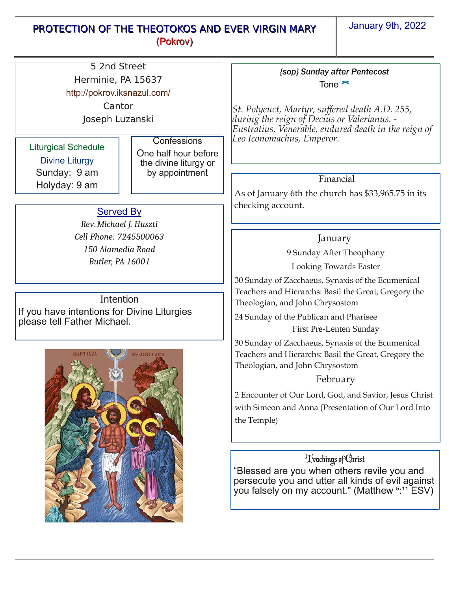## PROTECTION OF THE THEOTOKOS AND EVER VIRGIN MARY (Pokrov)

January 9th, 2022

| 5 2nd Street                                                               |                                               |                                                                                                                                                                                                         |
|----------------------------------------------------------------------------|-----------------------------------------------|---------------------------------------------------------------------------------------------------------------------------------------------------------------------------------------------------------|
| Herminie, PA 15637                                                         |                                               | (sop) Sunday after Pentecost<br>Tone $\bullet$<br>St. Polyeuct, Martyr, suffered death A.D. 255,<br>during the reign of Decius or Valerianus. -<br>Eustratius, Venerable, endured death in the reign of |
| http://pokrov.iksnazul.com/                                                |                                               |                                                                                                                                                                                                         |
| Cantor                                                                     |                                               |                                                                                                                                                                                                         |
| Joseph Luzanski                                                            |                                               |                                                                                                                                                                                                         |
|                                                                            |                                               |                                                                                                                                                                                                         |
| <b>Liturgical Schedule</b>                                                 | Confessions                                   | Leo Iconomachus, Emperor.                                                                                                                                                                               |
|                                                                            | One half hour before<br>the divine liturgy or |                                                                                                                                                                                                         |
| <b>Divine Liturgy</b>                                                      |                                               |                                                                                                                                                                                                         |
| Sunday: 9 am                                                               | by appointment                                | Financial                                                                                                                                                                                               |
| Holyday: 9 am                                                              |                                               | As of January 6th the church has \$33,965.75 in its                                                                                                                                                     |
|                                                                            |                                               | checking account.                                                                                                                                                                                       |
| <b>Served By</b>                                                           |                                               |                                                                                                                                                                                                         |
| Rev. Michael J. Huszti                                                     |                                               |                                                                                                                                                                                                         |
| Cell Phone: 7245500063                                                     |                                               | January                                                                                                                                                                                                 |
| 150 Alamedia Road                                                          |                                               | 9 Sunday After Theophany                                                                                                                                                                                |
| <b>Butler, PA 16001</b>                                                    |                                               | Looking Towards Easter                                                                                                                                                                                  |
|                                                                            |                                               | 30 Sunday of Zacchaeus, Synaxis of the Ecumenical                                                                                                                                                       |
| Intention                                                                  |                                               | Teachers and Hierarchs: Basil the Great, Gregory the                                                                                                                                                    |
| If you have intentions for Divine Liturgies<br>please tell Father Michael. |                                               | Theologian, and John Chrysostom                                                                                                                                                                         |
|                                                                            |                                               | 24 Sunday of the Publican and Pharisee                                                                                                                                                                  |
|                                                                            |                                               | First Pre-Lenten Sunday                                                                                                                                                                                 |
| <b>BAPTISM</b><br><b>OF OUR LORD</b>                                       |                                               | 30 Sunday of Zacchaeus, Synaxis of the Ecumenical                                                                                                                                                       |
|                                                                            |                                               | Teachers and Hierarchs: Basil the Great, Gregory the                                                                                                                                                    |
|                                                                            |                                               | Theologian, and John Chrysostom                                                                                                                                                                         |
|                                                                            |                                               | February                                                                                                                                                                                                |
|                                                                            |                                               | 2 Encounter of Our Lord, God, and Savior, Jesus Christ                                                                                                                                                  |
|                                                                            |                                               | with Simeon and Anna (Presentation of Our Lord Into                                                                                                                                                     |
|                                                                            |                                               | the Temple)                                                                                                                                                                                             |
|                                                                            |                                               |                                                                                                                                                                                                         |
|                                                                            |                                               |                                                                                                                                                                                                         |
|                                                                            |                                               | Teachings of Christ                                                                                                                                                                                     |
|                                                                            |                                               | "Blessed are you when others revile you and                                                                                                                                                             |
|                                                                            |                                               | persecute you and utter all kinds of evil against                                                                                                                                                       |
|                                                                            |                                               | you falsely on my account." (Matthew <sup>5:11</sup> ESV)                                                                                                                                               |
|                                                                            |                                               |                                                                                                                                                                                                         |
|                                                                            |                                               |                                                                                                                                                                                                         |
|                                                                            |                                               |                                                                                                                                                                                                         |